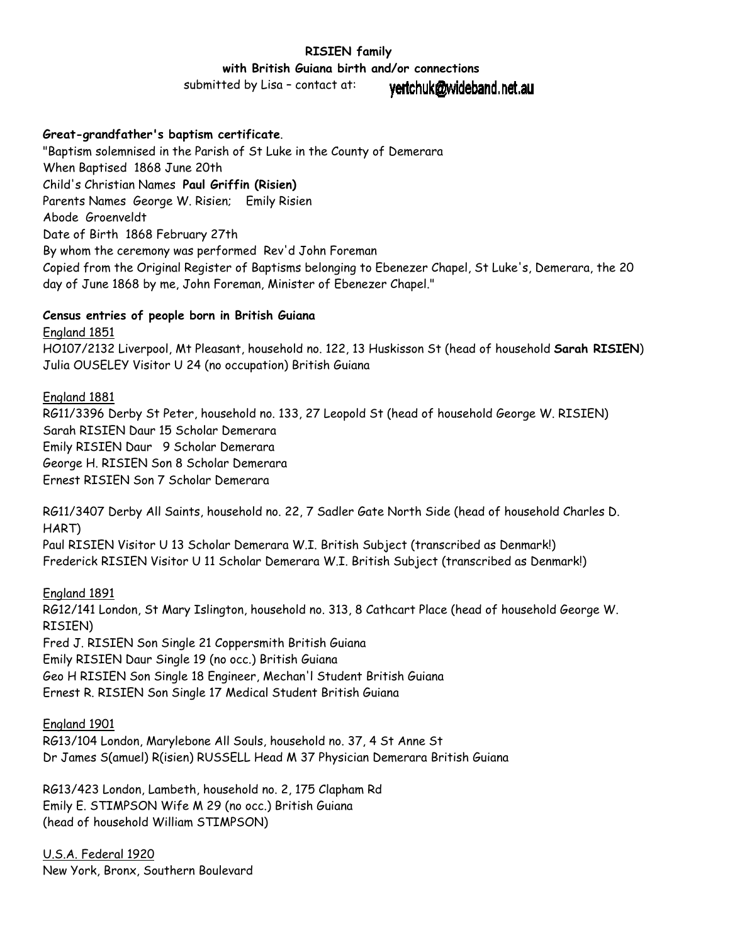# **RISIEN family**

 **with British Guiana birth and/or connections**

submitted by Lisa – contact at:

yertchuk@wideband.net.au

# **Great-grandfather's baptism certificate**.

"Baptism solemnised in the Parish of St Luke in the County of Demerara When Baptised 1868 June 20th Child's Christian Names **Paul Griffin (Risien)** Parents Names George W. Risien; Emily Risien Abode Groenveldt Date of Birth 1868 February 27th By whom the ceremony was performed Rev'd John Foreman Copied from the Original Register of Baptisms belonging to Ebenezer Chapel, St Luke's, Demerara, the 20 day of June 1868 by me, John Foreman, Minister of Ebenezer Chapel."

#### **Census entries of people born in British Guiana**

England 1851 HO107/2132 Liverpool, Mt Pleasant, household no. 122, 13 Huskisson St (head of household **Sarah RISIEN**) Julia OUSELEY Visitor U 24 (no occupation) British Guiana

# England 1881

RG11/3396 Derby St Peter, household no. 133, 27 Leopold St (head of household George W. RISIEN) Sarah RISIEN Daur 15 Scholar Demerara Emily RISIEN Daur 9 Scholar Demerara George H. RISIEN Son 8 Scholar Demerara Ernest RISIEN Son 7 Scholar Demerara

RG11/3407 Derby All Saints, household no. 22, 7 Sadler Gate North Side (head of household Charles D. HART)

Paul RISIEN Visitor U 13 Scholar Demerara W.I. British Subject (transcribed as Denmark!) Frederick RISIEN Visitor U 11 Scholar Demerara W.I. British Subject (transcribed as Denmark!)

England 1891

RG12/141 London, St Mary Islington, household no. 313, 8 Cathcart Place (head of household George W. RISIEN) Fred J. RISIEN Son Single 21 Coppersmith British Guiana

Emily RISIEN Daur Single 19 (no occ.) British Guiana Geo H RISIEN Son Single 18 Engineer, Mechan'l Student British Guiana Ernest R. RISIEN Son Single 17 Medical Student British Guiana

England 1901

RG13/104 London, Marylebone All Souls, household no. 37, 4 St Anne St Dr James S(amuel) R(isien) RUSSELL Head M 37 Physician Demerara British Guiana

RG13/423 London, Lambeth, household no. 2, 175 Clapham Rd Emily E. STIMPSON Wife M 29 (no occ.) British Guiana (head of household William STIMPSON)

U.S.A. Federal 1920 New York, Bronx, Southern Boulevard